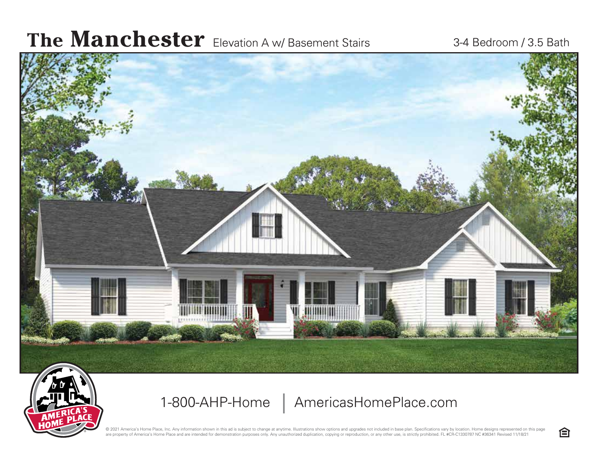## The **Manchester** Elevation A w/ Basement Stairs 3-4 Bedroom / 3.5 Bath



1-800-AHP-Home | AmericasHomePlace.com

© 2021 America's Home Place, Inc. Any information shown in this ad is subject to change at anytime. Illustrations show options and upgrades not included in base plan. Specifications vary by location. Home designs represent are property of America's Home Place and are intended for demonstration purposes only. Any unauthorized duplication, copying or reproduction, or any other use, is strictly prohibited. FL #CR-C1330787 NC #36341 Revised 11/1